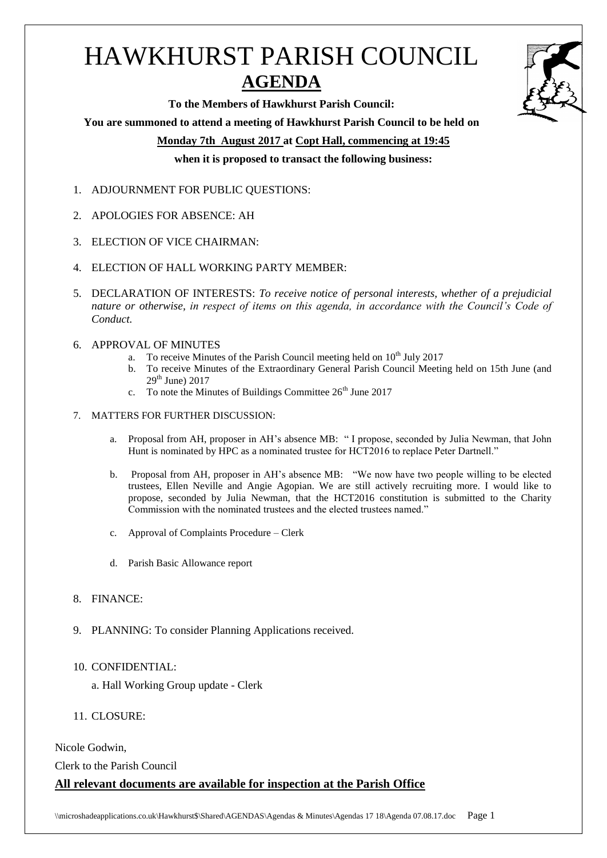# HAWKHURST PARISH COUNCIL **AGENDA**



**To the Members of Hawkhurst Parish Council:**

**You are summoned to attend a meeting of Hawkhurst Parish Council to be held on**

**Monday 7th August 2017 at Copt Hall, commencing at 19:45**

**when it is proposed to transact the following business:**

- 1. ADJOURNMENT FOR PUBLIC QUESTIONS:
- 2. APOLOGIES FOR ABSENCE: AH
- 3. ELECTION OF VICE CHAIRMAN:
- 4. ELECTION OF HALL WORKING PARTY MEMBER:
- 5. DECLARATION OF INTERESTS: *To receive notice of personal interests, whether of a prejudicial nature or otherwise, in respect of items on this agenda, in accordance with the Council's Code of Conduct.*
- 6. APPROVAL OF MINUTES
	- a. To receive Minutes of the Parish Council meeting held on  $10^{th}$  July 2017
	- b. To receive Minutes of the Extraordinary General Parish Council Meeting held on 15th June (and  $29<sup>th</sup>$  June) 2017
	- c. To note the Minutes of Buildings Committee  $26<sup>th</sup>$  June 2017

#### 7. MATTERS FOR FURTHER DISCUSSION:

- a. Proposal from AH, proposer in AH's absence MB: " I propose, seconded by Julia Newman, that John Hunt is nominated by HPC as a nominated trustee for HCT2016 to replace Peter Dartnell."
- b. Proposal from AH, proposer in AH's absence MB: "We now have two people willing to be elected trustees, Ellen Neville and Angie Agopian. We are still actively recruiting more. I would like to propose, seconded by Julia Newman, that the HCT2016 constitution is submitted to the Charity Commission with the nominated trustees and the elected trustees named."
- c. Approval of Complaints Procedure Clerk
- d. Parish Basic Allowance report
- 8. FINANCE:
- 9. PLANNING: To consider Planning Applications received.
- 10. CONFIDENTIAL:

a. Hall Working Group update - Clerk

## 11. CLOSURE:

Nicole Godwin,

Clerk to the Parish Council

## **All relevant documents are available for inspection at the Parish Office**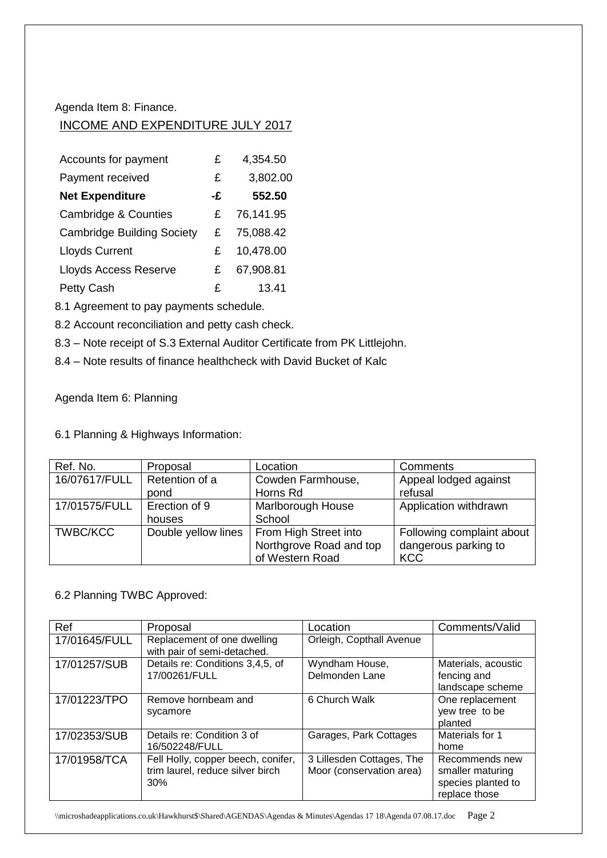Agenda Item 8: Finance.

## INCOME AND EXPENDITURE JULY 2017

| Accounts for payment              | £  | 4,354.50  |
|-----------------------------------|----|-----------|
| Payment received                  | £  | 3,802.00  |
| <b>Net Expenditure</b>            | -£ | 552.50    |
| <b>Cambridge &amp; Counties</b>   | £  | 76,141.95 |
| <b>Cambridge Building Society</b> | £  | 75,088.42 |
| <b>Lloyds Current</b>             | £  | 10,478.00 |
| <b>Lloyds Access Reserve</b>      | £  | 67,908.81 |
| Petty Cash                        | £  | 13.41     |

8.1 Agreement to pay payments schedule.

8.2 Account reconciliation and petty cash check.

8.3 – Note receipt of S.3 External Auditor Certificate from PK Littlejohn.

8.4 – Note results of finance healthcheck with David Bucket of Kalc

Agenda Item 6: Planning

6.1 Planning & Highways Information:

| Ref. No.        | Proposal            | Location                | Comments                  |
|-----------------|---------------------|-------------------------|---------------------------|
| 16/07617/FULL   | Retention of a      | Cowden Farmhouse,       | Appeal lodged against     |
|                 | pond                | Horns Rd                | refusal                   |
| 17/01575/FULL   | Erection of 9       | Marlborough House       | Application withdrawn     |
|                 | houses              | School                  |                           |
| <b>TWBC/KCC</b> | Double yellow lines | From High Street into   | Following complaint about |
|                 |                     | Northgrove Road and top | dangerous parking to      |
|                 |                     | of Western Road         | <b>KCC</b>                |

## 6.2 Planning TWBC Approved:

| Ref           | Proposal                                                                      | Location                                              | Comments/Valid                                                            |
|---------------|-------------------------------------------------------------------------------|-------------------------------------------------------|---------------------------------------------------------------------------|
| 17/01645/FULL | Replacement of one dwelling<br>with pair of semi-detached.                    | Orleigh, Copthall Avenue                              |                                                                           |
| 17/01257/SUB  | Details re: Conditions 3,4,5, of<br>17/00261/FULL                             | Wyndham House,<br>Delmonden Lane                      | Materials, acoustic<br>fencing and<br>landscape scheme                    |
| 17/01223/TPO  | Remove hornbeam and<br>sycamore                                               | 6 Church Walk                                         | One replacement<br>yew tree to be<br>planted                              |
| 17/02353/SUB  | Details re: Condition 3 of<br>16/502248/FULL                                  | Garages, Park Cottages                                | Materials for 1<br>home                                                   |
| 17/01958/TCA  | Fell Holly, copper beech, conifer,<br>trim laurel, reduce silver birch<br>30% | 3 Lillesden Cottages, The<br>Moor (conservation area) | Recommends new<br>smaller maturing<br>species planted to<br>replace those |